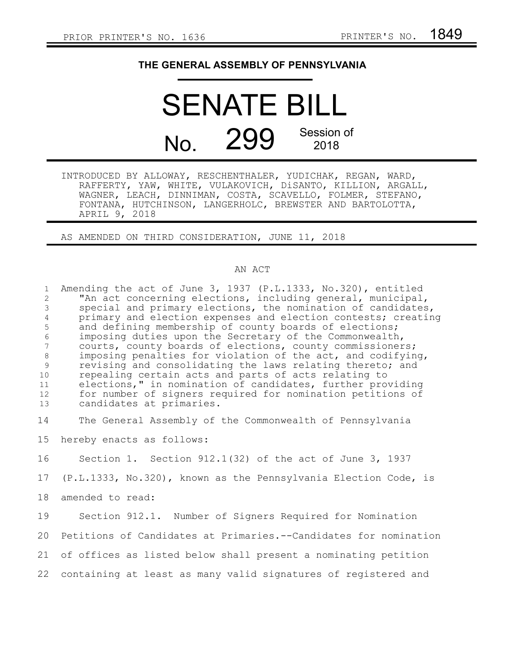## **THE GENERAL ASSEMBLY OF PENNSYLVANIA**

## SENATE BILL No. 299 Session of 2018

INTRODUCED BY ALLOWAY, RESCHENTHALER, YUDICHAK, REGAN, WARD, RAFFERTY, YAW, WHITE, VULAKOVICH, DiSANTO, KILLION, ARGALL, WAGNER, LEACH, DINNIMAN, COSTA, SCAVELLO, FOLMER, STEFANO, FONTANA, HUTCHINSON, LANGERHOLC, BREWSTER AND BARTOLOTTA, APRIL 9, 2018

AS AMENDED ON THIRD CONSIDERATION, JUNE 11, 2018

## AN ACT

Amending the act of June 3, 1937 (P.L.1333, No.320), entitled "An act concerning elections, including general, municipal, special and primary elections, the nomination of candidates, primary and election expenses and election contests; creating and defining membership of county boards of elections; imposing duties upon the Secretary of the Commonwealth, courts, county boards of elections, county commissioners; imposing penalties for violation of the act, and codifying, revising and consolidating the laws relating thereto; and repealing certain acts and parts of acts relating to elections," in nomination of candidates, further providing for number of signers required for nomination petitions of candidates at primaries. The General Assembly of the Commonwealth of Pennsylvania hereby enacts as follows: Section 1. Section 912.1(32) of the act of June 3, 1937 (P.L.1333, No.320), known as the Pennsylvania Election Code, is amended to read: Section 912.1. Number of Signers Required for Nomination Petitions of Candidates at Primaries.--Candidates for nomination 1 2 3 4 5 6 7 8 9 10 11 12 13 14 15 16 17 18 19 20

of offices as listed below shall present a nominating petition 21

containing at least as many valid signatures of registered and 22